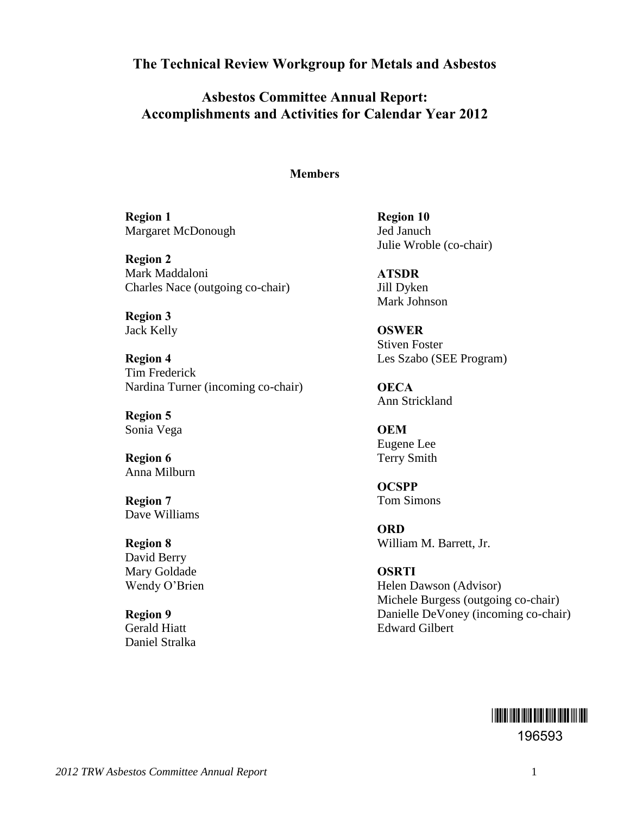**The Technical Review Workgroup for Metals and Asbestos** 

**Asbestos Committee Annual Report: Accomplishments and Activities for Calendar Year 2012** 

#### **Members**

**Region 1**  Margaret McDonough

**Region 2**  Mark Maddaloni Charles Nace (outgoing co-chair)

**Region 3**  Jack Kelly

**Region 4**  Tim Frederick Nardina Turner (incoming co-chair)

**Region 5**  Sonia Vega

**Region 6**  Anna Milburn

**Region 7**  Dave Williams

**Region 8**  David Berry Mary Goldade Wendy O'Brien

**Region 9**  Gerald Hiatt Daniel Stralka **Region 10**  Jed Januch Julie Wroble (co-chair)

**ATSDR**  Jill Dyken Mark Johnson

**OSWER**  Stiven Foster Les Szabo (SEE Program)

**OECA**  Ann Strickland

**OEM**  Eugene Lee Terry Smith

**OCSPP** Tom Simons

**ORD**  William M. Barrett, Jr.

**OSRTI**  Helen Dawson (Advisor) Michele Burgess (outgoing co-chair) Danielle DeVoney (incoming co-chair) Edward Gilbert

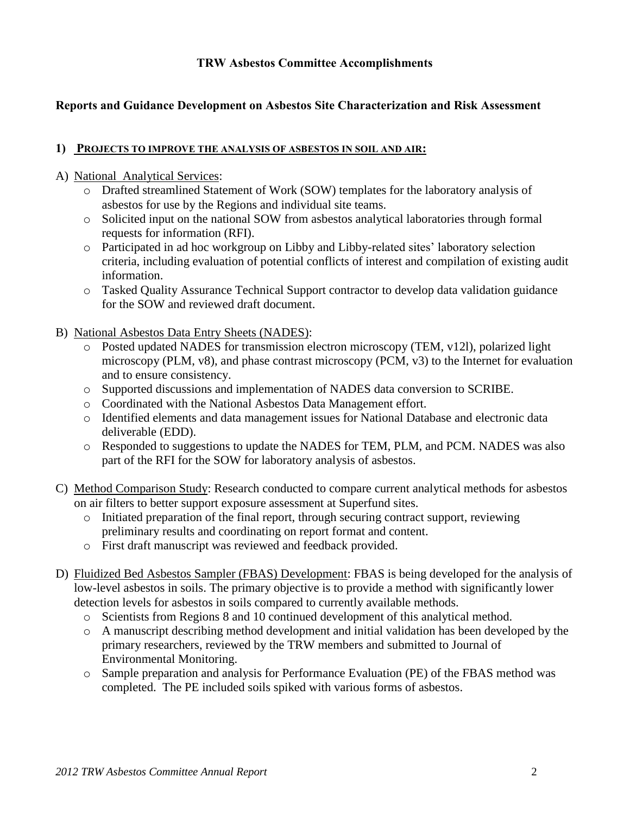## **TRW Asbestos Committee Accomplishments**

## **Reports and Guidance Development on Asbestos Site Characterization and Risk Assessment**

### **1) PROJECTS TO IMPROVE THE ANALYSIS OF ASBESTOS IN SOIL AND AIR:**

### A) National Analytical Services:

- o Drafted streamlined Statement of Work (SOW) templates for the laboratory analysis of asbestos for use by the Regions and individual site teams.
- o Solicited input on the national SOW from asbestos analytical laboratories through formal requests for information (RFI).
- o Participated in ad hoc workgroup on Libby and Libby-related sites' laboratory selection criteria, including evaluation of potential conflicts of interest and compilation of existing audit information.
- o Tasked Quality Assurance Technical Support contractor to develop data validation guidance for the SOW and reviewed draft document.
- B) National Asbestos Data Entry Sheets (NADES):
	- o Posted updated NADES for transmission electron microscopy (TEM, v12l), polarized light microscopy (PLM, v8), and phase contrast microscopy (PCM, v3) to the Internet for evaluation and to ensure consistency.
	- o Supported discussions and implementation of NADES data conversion to SCRIBE.
	- o Coordinated with the National Asbestos Data Management effort.
	- o Identified elements and data management issues for National Database and electronic data deliverable (EDD).
	- o Responded to suggestions to update the NADES for TEM, PLM, and PCM. NADES was also part of the RFI for the SOW for laboratory analysis of asbestos.
- C) Method Comparison Study: Research conducted to compare current analytical methods for asbestos on air filters to better support exposure assessment at Superfund sites.
	- $\circ$  Initiated preparation of the final report, through securing contract support, reviewing preliminary results and coordinating on report format and content.
	- o First draft manuscript was reviewed and feedback provided.
- D) Fluidized Bed Asbestos Sampler (FBAS) Development: FBAS is being developed for the analysis of low-level asbestos in soils. The primary objective is to provide a method with significantly lower detection levels for asbestos in soils compared to currently available methods.
	- o Scientists from Regions 8 and 10 continued development of this analytical method.
	- o A manuscript describing method development and initial validation has been developed by the primary researchers, reviewed by the TRW members and submitted to Journal of Environmental Monitoring.
	- o Sample preparation and analysis for Performance Evaluation (PE) of the FBAS method was completed. The PE included soils spiked with various forms of asbestos.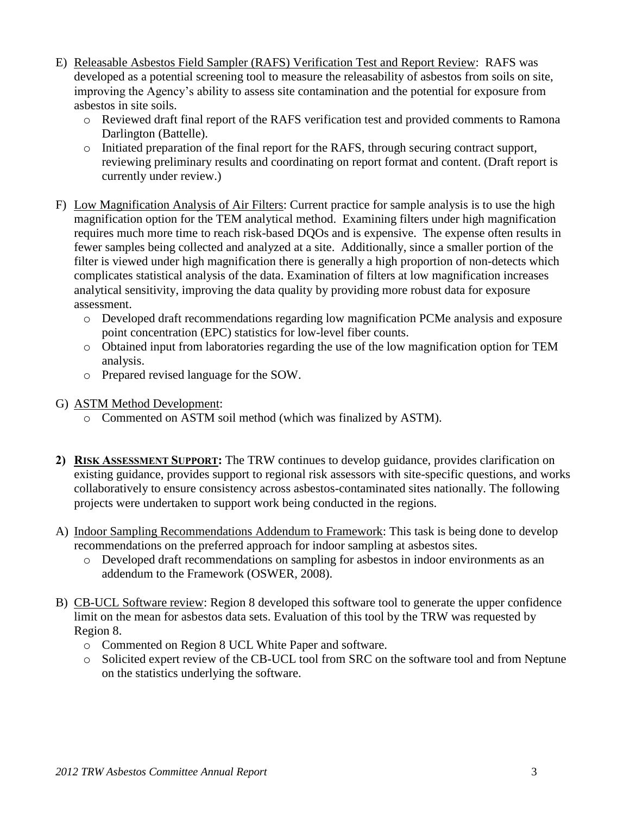- E) Releasable Asbestos Field Sampler (RAFS) Verification Test and Report Review: RAFS was developed as a potential screening tool to measure the releasability of asbestos from soils on site, improving the Agency's ability to assess site contamination and the potential for exposure from asbestos in site soils.
	- o Reviewed draft final report of the RAFS verification test and provided comments to Ramona Darlington (Battelle).
	- o Initiated preparation of the final report for the RAFS, through securing contract support, reviewing preliminary results and coordinating on report format and content. (Draft report is currently under review.)
- F) Low Magnification Analysis of Air Filters: Current practice for sample analysis is to use the high magnification option for the TEM analytical method. Examining filters under high magnification requires much more time to reach risk-based DQOs and is expensive. The expense often results in fewer samples being collected and analyzed at a site. Additionally, since a smaller portion of the filter is viewed under high magnification there is generally a high proportion of non-detects which complicates statistical analysis of the data. Examination of filters at low magnification increases analytical sensitivity, improving the data quality by providing more robust data for exposure assessment.
	- o Developed draft recommendations regarding low magnification PCMe analysis and exposure point concentration (EPC) statistics for low-level fiber counts.
	- o Obtained input from laboratories regarding the use of the low magnification option for TEM analysis.
	- o Prepared revised language for the SOW.
- G) ASTM Method Development:
	- o Commented on ASTM soil method (which was finalized by ASTM).
- **2) RISK ASSESSMENT SUPPORT:** The TRW continues to develop guidance, provides clarification on existing guidance, provides support to regional risk assessors with site-specific questions, and works collaboratively to ensure consistency across asbestos-contaminated sites nationally. The following projects were undertaken to support work being conducted in the regions.
- A) Indoor Sampling Recommendations Addendum to Framework: This task is being done to develop recommendations on the preferred approach for indoor sampling at asbestos sites.
	- o Developed draft recommendations on sampling for asbestos in indoor environments as an addendum to the Framework (OSWER, 2008).
- B) CB-UCL Software review: Region 8 developed this software tool to generate the upper confidence limit on the mean for asbestos data sets. Evaluation of this tool by the TRW was requested by Region 8.
	- o Commented on Region 8 UCL White Paper and software.
	- o Solicited expert review of the CB-UCL tool from SRC on the software tool and from Neptune on the statistics underlying the software.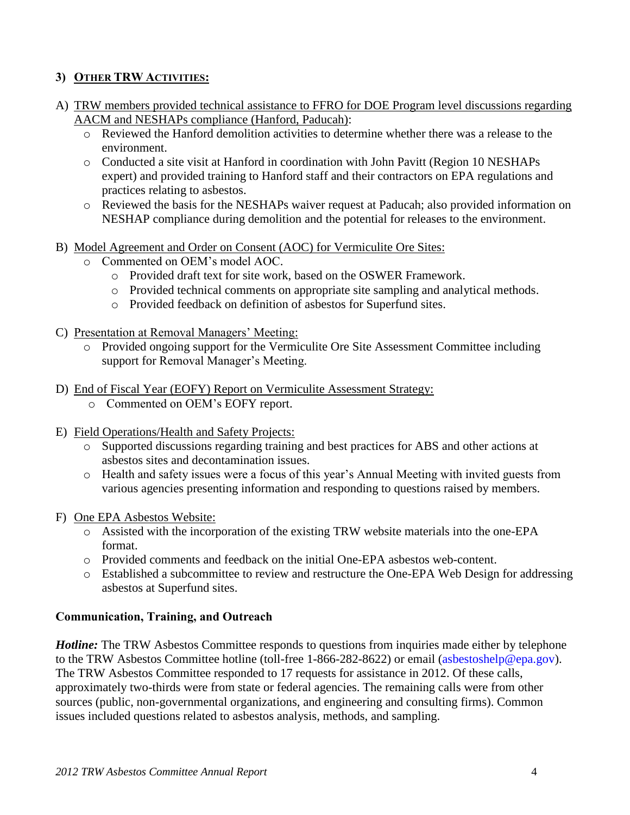## **3) OTHER TRW ACTIVITIES:**

- A) TRW members provided technical assistance to FFRO for DOE Program level discussions regarding AACM and NESHAPs compliance (Hanford, Paducah):
	- o Reviewed the Hanford demolition activities to determine whether there was a release to the environment.
	- o Conducted a site visit at Hanford in coordination with John Pavitt (Region 10 NESHAPs expert) and provided training to Hanford staff and their contractors on EPA regulations and practices relating to asbestos.
	- o Reviewed the basis for the NESHAPs waiver request at Paducah; also provided information on NESHAP compliance during demolition and the potential for releases to the environment.
- B) Model Agreement and Order on Consent (AOC) for Vermiculite Ore Sites:
	- o Commented on OEM's model AOC.
		- o Provided draft text for site work, based on the OSWER Framework.
		- o Provided technical comments on appropriate site sampling and analytical methods.
		- o Provided feedback on definition of asbestos for Superfund sites.
- C) Presentation at Removal Managers' Meeting:
	- o Provided ongoing support for the Vermiculite Ore Site Assessment Committee including support for Removal Manager's Meeting.
- D) End of Fiscal Year (EOFY) Report on Vermiculite Assessment Strategy:
	- o Commented on OEM's EOFY report.
- E) Field Operations/Health and Safety Projects:
	- o Supported discussions regarding training and best practices for ABS and other actions at asbestos sites and decontamination issues.
	- o Health and safety issues were a focus of this year's Annual Meeting with invited guests from various agencies presenting information and responding to questions raised by members.

### F) One EPA Asbestos Website:

- o Assisted with the incorporation of the existing TRW website materials into the one-EPA format.
- o Provided comments and feedback on the initial One-EPA asbestos web-content.
- o Established a subcommittee to review and restructure the One-EPA Web Design for addressing asbestos at Superfund sites.

## **Communication, Training, and Outreach**

*Hotline:* The TRW Asbestos Committee responds to questions from inquiries made either by telephone to the TRW Asbestos Committee hotline (toll-free 1-866-282-8622) or email [\(asbestoshelp@epa.gov\)](mailto:asbestoshelp@epa.gov). The TRW Asbestos Committee responded to 17 requests for assistance in 2012. Of these calls, approximately two-thirds were from state or federal agencies. The remaining calls were from other sources (public, non-governmental organizations, and engineering and consulting firms). Common issues included questions related to asbestos analysis, methods, and sampling.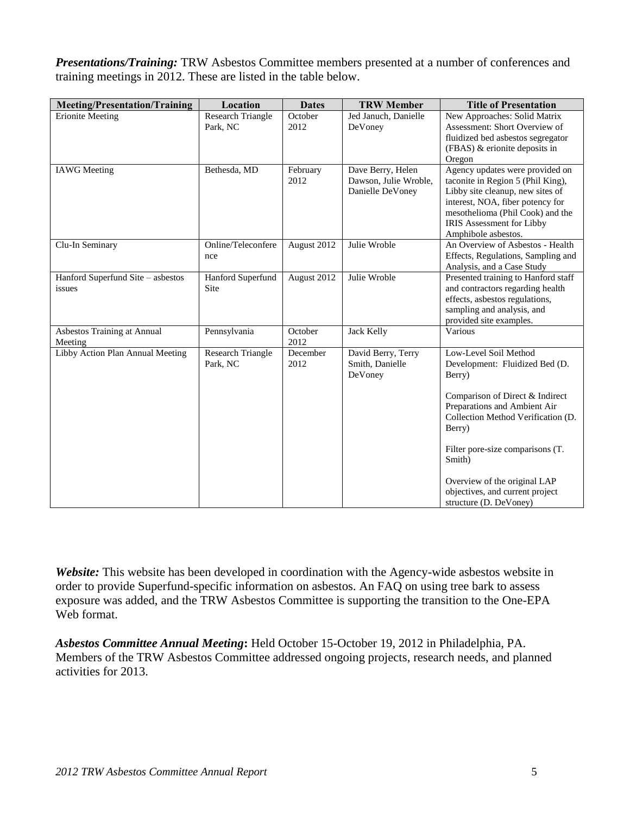*Presentations/Training:* TRW Asbestos Committee members presented at a number of conferences and training meetings in 2012. These are listed in the table below.

| <b>Meeting/Presentation/Training</b>        | Location                             | <b>Dates</b>     | <b>TRW Member</b>                                              | <b>Title of Presentation</b>                                                                                                                                                                                                         |
|---------------------------------------------|--------------------------------------|------------------|----------------------------------------------------------------|--------------------------------------------------------------------------------------------------------------------------------------------------------------------------------------------------------------------------------------|
| <b>Erionite Meeting</b>                     | <b>Research Triangle</b><br>Park, NC | October<br>2012  | Jed Januch, Danielle<br>DeVoney                                | New Approaches: Solid Matrix<br>Assessment: Short Overview of<br>fluidized bed asbestos segregator<br>(FBAS) & erionite deposits in<br>Oregon                                                                                        |
| <b>IAWG</b> Meeting                         | Bethesda, MD                         | February<br>2012 | Dave Berry, Helen<br>Dawson, Julie Wroble,<br>Danielle DeVoney | Agency updates were provided on<br>taconite in Region 5 (Phil King),<br>Libby site cleanup, new sites of<br>interest, NOA, fiber potency for<br>mesothelioma (Phil Cook) and the<br>IRIS Assessment for Libby<br>Amphibole asbestos. |
| Clu-In Seminary                             | Online/Teleconfere<br>nce            | August 2012      | Julie Wroble                                                   | An Overview of Asbestos - Health<br>Effects, Regulations, Sampling and<br>Analysis, and a Case Study                                                                                                                                 |
| Hanford Superfund Site - asbestos<br>issues | Hanford Superfund<br>Site            | August 2012      | Julie Wroble                                                   | Presented training to Hanford staff<br>and contractors regarding health<br>effects, asbestos regulations,<br>sampling and analysis, and<br>provided site examples.                                                                   |
| Asbestos Training at Annual<br>Meeting      | Pennsylvania                         | October<br>2012  | <b>Jack Kelly</b>                                              | Various                                                                                                                                                                                                                              |
| Libby Action Plan Annual Meeting            | Research Triangle<br>Park, NC        | December<br>2012 | David Berry, Terry<br>Smith, Danielle<br>DeVoney               | Low-Level Soil Method<br>Development: Fluidized Bed (D.<br>Berry)<br>Comparison of Direct & Indirect<br>Preparations and Ambient Air<br>Collection Method Verification (D.<br>Berry)                                                 |
|                                             |                                      |                  |                                                                | Filter pore-size comparisons (T.<br>Smith)<br>Overview of the original LAP<br>objectives, and current project<br>structure (D. DeVoney)                                                                                              |

*Website:* This website has been developed in coordination with the Agency-wide asbestos website in order to provide Superfund-specific information on asbestos. An FAQ on using tree bark to assess exposure was added, and the TRW Asbestos Committee is supporting the transition to the One-EPA Web format.

*Asbestos Committee Annual Meeting***:** Held October 15-October 19, 2012 in Philadelphia, PA. Members of the TRW Asbestos Committee addressed ongoing projects, research needs, and planned activities for 2013.